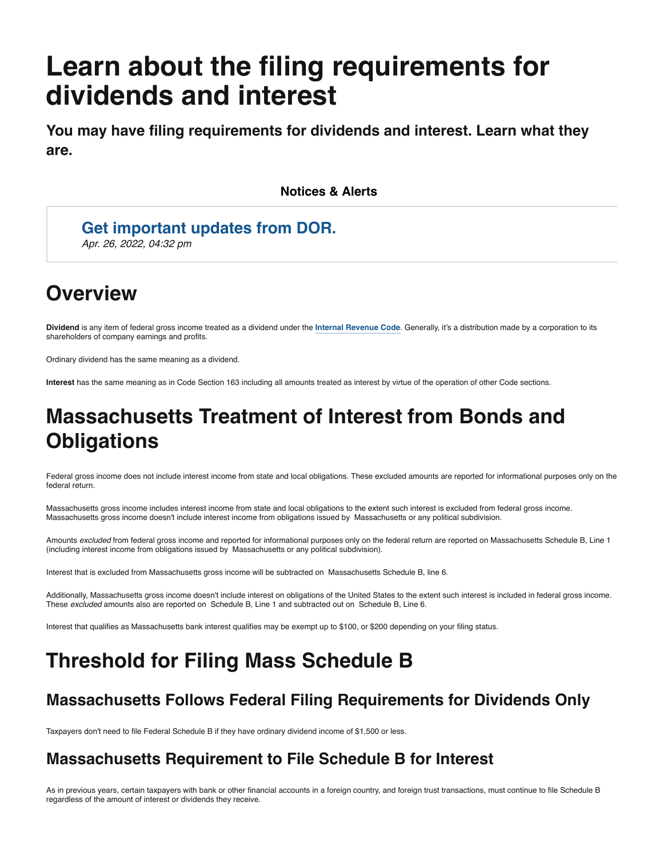# **Learn about the filing requirements for dividends and interest**

**You may have filing requirements for dividends and interest. Learn what they are.**

**Notices & Alerts**

### **[Get important updates from DOR.](https://mailchi.mp/dor.state.ma.us/mailinglist)**

*Apr. 26, 2022, 04:32 pm*

## **Overview**

**Dividend** is any item of federal gross income treated as a dividend under the **[Internal Revenue Code](https://www.irs.gov/forms-pubs/about-schedule-b-form-1040)**. Generally, it's a distribution made by a corporation to its shareholders of company earnings and profits.

Ordinary dividend has the same meaning as a dividend.

**Interest** has the same meaning as in Code Section 163 including all amounts treated as interest by virtue of the operation of other Code sections.

# **Massachusetts Treatment of Interest from Bonds and Obligations**

Federal gross income does not include interest income from state and local obligations. These excluded amounts are reported for informational purposes only on the federal return.

Massachusetts gross income includes interest income from state and local obligations to the extent such interest is excluded from federal gross income. Massachusetts gross income doesn't include interest income from obligations issued by Massachusetts or any political subdivision.

Amounts *excluded* from federal gross income and reported for informational purposes only on the federal return are reported on Massachusetts Schedule B, Line 1 (including interest income from obligations issued by Massachusetts or any political subdivision).

Interest that is excluded from Massachusetts gross income will be subtracted on Massachusetts Schedule B, line 6.

Additionally, Massachusetts gross income doesn't include interest on obligations of the United States to the extent such interest is included in federal gross income. These *excluded* amounts also are reported on Schedule B, Line 1 and subtracted out on Schedule B, Line 6.

Interest that qualifies as Massachusetts bank interest qualifies may be exempt up to \$100, or \$200 depending on your filing status.

### **Threshold for Filing Mass Schedule B**

#### **Massachusetts Follows Federal Filing Requirements for Dividends Only**

Taxpayers don't need to file Federal Schedule B if they have ordinary dividend income of \$1,500 or less.

#### **Massachusetts Requirement to File Schedule B for Interest**

As in previous years, certain taxpayers with bank or other financial accounts in a foreign country, and foreign trust transactions, must continue to file Schedule B regardless of the amount of interest or dividends they receive.